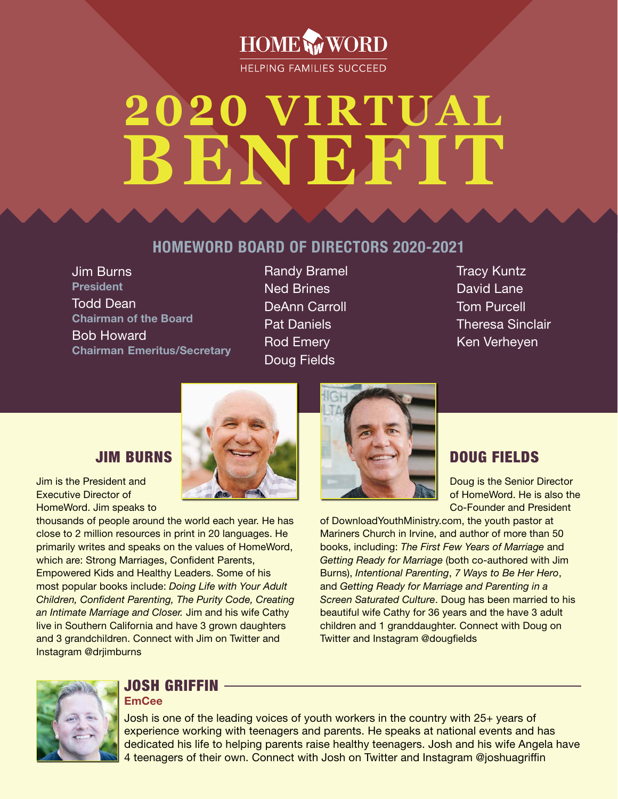

# **2020 VIRTUAL BENEFIT**

#### HOMEWORD BOARD OF DIRECTORS 2020-2021

Jim Burns President Todd Dean Chairman of the Board Bob Howard Chairman Emeritus/Secretary Randy Bramel Ned Brines DeAnn Carroll Pat Daniels Rod Emery Doug Fields

Tracy Kuntz David Lane Tom Purcell Theresa Sinclair Ken Verheyen

#### JIM BURNS

Jim is the President and Executive Director of HomeWord. Jim speaks to

thousands of people around the world each year. He has close to 2 million resources in print in 20 languages. He primarily writes and speaks on the values of HomeWord, which are: Strong Marriages, Confident Parents, Empowered Kids and Healthy Leaders. Some of his most popular books include: *Doing Life with Your Adult Children, Confident Parenting, The Purity Code, Creating an Intimate Marriage and Closer.* Jim and his wife Cathy live in Southern California and have 3 grown daughters and 3 grandchildren. Connect with Jim on Twitter and Instagram @drjimburns



#### DOUG FIELDS

Doug is the Senior Director of HomeWord. He is also the Co-Founder and President

of DownloadYouthMinistry.com, the youth pastor at Mariners Church in Irvine, and author of more than 50 books, including: *The First Few Years of Marriage* and *Getting Ready for Marriage* (both co-authored with Jim Burns), *Intentional Parenting*, *7 Ways to Be Her Hero*, and *Getting Ready for Marriage and Parenting in a Screen Saturated Culture*. Doug has been married to his beautiful wife Cathy for 36 years and the have 3 adult children and 1 granddaughter. Connect with Doug on Twitter and Instagram @dougfields



#### JOSH GRIFFIN **EmCee**

Josh is one of the leading voices of youth workers in the country with 25+ years of experience working with teenagers and parents. He speaks at national events and has dedicated his life to helping parents raise healthy teenagers. Josh and his wife Angela have 4 teenagers of their own. Connect with Josh on Twitter and Instagram @joshuagriffin